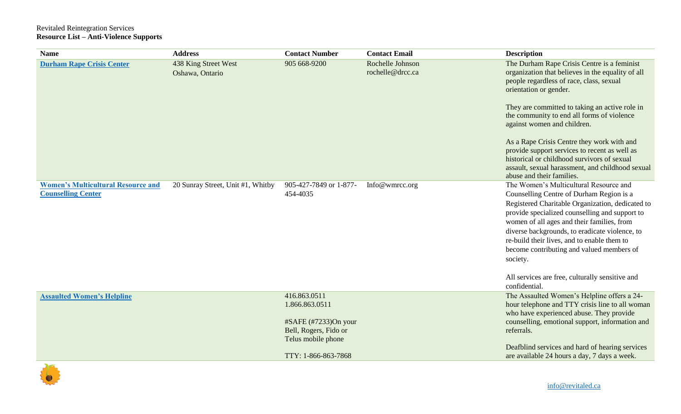## Revitaled Reintegration Services **Resource List – Anti-Violence Supports**

| <b>Name</b>                                                            | <b>Address</b>                          | <b>Contact Number</b>                                                 | <b>Contact Email</b>                 | <b>Description</b>                                                                                                                                                                                                                                                                                                                                                                                                                                  |
|------------------------------------------------------------------------|-----------------------------------------|-----------------------------------------------------------------------|--------------------------------------|-----------------------------------------------------------------------------------------------------------------------------------------------------------------------------------------------------------------------------------------------------------------------------------------------------------------------------------------------------------------------------------------------------------------------------------------------------|
| <b>Durham Rape Crisis Center</b>                                       | 438 King Street West<br>Oshawa, Ontario | 905 668-9200                                                          | Rochelle Johnson<br>rochelle@drcc.ca | The Durham Rape Crisis Centre is a feminist<br>organization that believes in the equality of all<br>people regardless of race, class, sexual<br>orientation or gender.<br>They are committed to taking an active role in<br>the community to end all forms of violence<br>against women and children.                                                                                                                                               |
|                                                                        |                                         |                                                                       |                                      | As a Rape Crisis Centre they work with and<br>provide support services to recent as well as<br>historical or childhood survivors of sexual<br>assault, sexual harassment, and childhood sexual<br>abuse and their families.                                                                                                                                                                                                                         |
| <b>Women's Multicultural Resource and</b><br><b>Counselling Center</b> | 20 Sunray Street, Unit #1, Whitby       | 905-427-7849 or 1-877-<br>454-4035                                    | Info@wmrcc.org                       | The Women's Multicultural Resource and<br>Counselling Centre of Durham Region is a<br>Registered Charitable Organization, dedicated to<br>provide specialized counselling and support to<br>women of all ages and their families, from<br>diverse backgrounds, to eradicate violence, to<br>re-build their lives, and to enable them to<br>become contributing and valued members of<br>society.<br>All services are free, culturally sensitive and |
|                                                                        |                                         |                                                                       |                                      | confidential.                                                                                                                                                                                                                                                                                                                                                                                                                                       |
| <b>Assaulted Women's Helpline</b>                                      |                                         | 416.863.0511<br>1.866.863.0511                                        |                                      | The Assaulted Women's Helpline offers a 24-<br>hour telephone and TTY crisis line to all woman<br>who have experienced abuse. They provide                                                                                                                                                                                                                                                                                                          |
|                                                                        |                                         | $#SAFE$ (#7233)On your<br>Bell, Rogers, Fido or<br>Telus mobile phone |                                      | counselling, emotional support, information and<br>referrals.                                                                                                                                                                                                                                                                                                                                                                                       |
|                                                                        |                                         | TTY: 1-866-863-7868                                                   |                                      | Deafblind services and hard of hearing services<br>are available 24 hours a day, 7 days a week.                                                                                                                                                                                                                                                                                                                                                     |

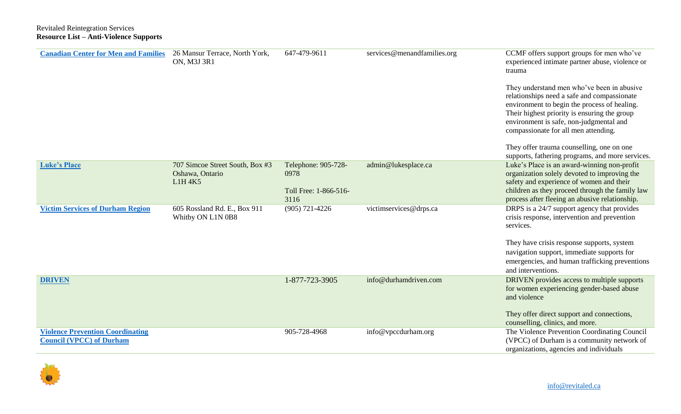| <b>Canadian Center for Men and Families</b>                                | 26 Mansur Terrace, North York,<br><b>ON, M3J 3R1</b>          | 647-479-9611                                                 | services@menandfamilies.org | CCMF offers support groups for men who've<br>experienced intimate partner abuse, violence or<br>trauma<br>They understand men who've been in abusive<br>relationships need a safe and compassionate<br>environment to begin the process of healing.<br>Their highest priority is ensuring the group<br>environment is safe, non-judgmental and<br>compassionate for all men attending. |
|----------------------------------------------------------------------------|---------------------------------------------------------------|--------------------------------------------------------------|-----------------------------|----------------------------------------------------------------------------------------------------------------------------------------------------------------------------------------------------------------------------------------------------------------------------------------------------------------------------------------------------------------------------------------|
|                                                                            |                                                               |                                                              |                             | They offer trauma counselling, one on one<br>supports, fathering programs, and more services.                                                                                                                                                                                                                                                                                          |
| <b>Luke's Place</b>                                                        | 707 Simcoe Street South, Box #3<br>Oshawa, Ontario<br>L1H 4K5 | Telephone: 905-728-<br>0978<br>Toll Free: 1-866-516-<br>3116 | admin@lukesplace.ca         | Luke's Place is an award-winning non-profit<br>organization solely devoted to improving the<br>safety and experience of women and their<br>children as they proceed through the family law<br>process after fleeing an abusive relationship.                                                                                                                                           |
| <b>Victim Services of Durham Region</b>                                    | 605 Rossland Rd. E., Box 911<br>Whitby ON L1N 0B8             | $(905)$ 721-4226                                             | victimservices@drps.ca      | DRPS is a 24/7 support agency that provides<br>crisis response, intervention and prevention<br>services.                                                                                                                                                                                                                                                                               |
|                                                                            |                                                               |                                                              |                             | They have crisis response supports, system<br>navigation support, immediate supports for<br>emergencies, and human trafficking preventions<br>and interventions.                                                                                                                                                                                                                       |
| <b>DRIVEN</b>                                                              |                                                               | 1-877-723-3905                                               | info@durhamdriven.com       | DRIVEN provides access to multiple supports<br>for women experiencing gender-based abuse<br>and violence<br>They offer direct support and connections,                                                                                                                                                                                                                                 |
| <b>Violence Prevention Coordinating</b><br><b>Council (VPCC) of Durham</b> |                                                               | 905-728-4968                                                 | info@vpccdurham.org         | counselling, clinics, and more.<br>The Violence Prevention Coordinating Council<br>(VPCC) of Durham is a community network of                                                                                                                                                                                                                                                          |
|                                                                            |                                                               |                                                              |                             | organizations, agencies and individuals                                                                                                                                                                                                                                                                                                                                                |